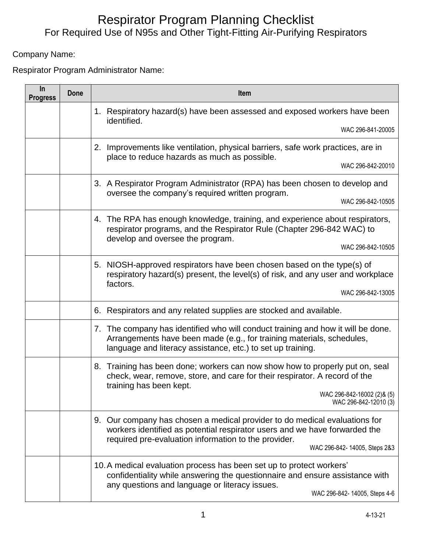## For Required Use of N95s and Other Tight-Fitting Air-Purifying Respirators Respirator Program Planning Checklist

Company Name:

Respirator Program Administrator Name:

| In<br><b>Progress</b> | <b>Done</b>                                        | <b>Item</b>                                                                                                                                                                                                                                      |
|-----------------------|----------------------------------------------------|--------------------------------------------------------------------------------------------------------------------------------------------------------------------------------------------------------------------------------------------------|
|                       |                                                    | 1. Respiratory hazard(s) have been assessed and exposed workers have been<br>identified.                                                                                                                                                         |
|                       |                                                    | WAC 296-841-20005                                                                                                                                                                                                                                |
|                       | 2.<br>place to reduce hazards as much as possible. | Improvements like ventilation, physical barriers, safe work practices, are in                                                                                                                                                                    |
|                       |                                                    | WAC 296-842-20010                                                                                                                                                                                                                                |
|                       | oversee the company's required written program.    | 3. A Respirator Program Administrator (RPA) has been chosen to develop and                                                                                                                                                                       |
|                       |                                                    | WAC 296-842-10505                                                                                                                                                                                                                                |
|                       |                                                    | 4. The RPA has enough knowledge, training, and experience about respirators,<br>respirator programs, and the Respirator Rule (Chapter 296-842 WAC) to<br>develop and oversee the program.                                                        |
|                       |                                                    | WAC 296-842-10505                                                                                                                                                                                                                                |
|                       |                                                    | 5. NIOSH-approved respirators have been chosen based on the type(s) of<br>respiratory hazard(s) present, the level(s) of risk, and any user and workplace<br>factors.                                                                            |
|                       |                                                    | WAC 296-842-13005                                                                                                                                                                                                                                |
|                       |                                                    | Respirators and any related supplies are stocked and available.<br>6.                                                                                                                                                                            |
|                       |                                                    | 7. The company has identified who will conduct training and how it will be done.<br>Arrangements have been made (e.g., for training materials, schedules,<br>language and literacy assistance, etc.) to set up training.                         |
|                       |                                                    | 8. Training has been done; workers can now show how to properly put on, seal<br>check, wear, remove, store, and care for their respirator. A record of the<br>training has been kept.                                                            |
|                       |                                                    | WAC 296-842-16002 (2)& (5)<br>WAC 296-842-12010 (3)                                                                                                                                                                                              |
|                       |                                                    | 9. Our company has chosen a medical provider to do medical evaluations for<br>workers identified as potential respirator users and we have forwarded the<br>required pre-evaluation information to the provider.<br>WAC 296-842-14005, Steps 2&3 |
|                       |                                                    | 10. A medical evaluation process has been set up to protect workers'<br>confidentiality while answering the questionnaire and ensure assistance with<br>any questions and language or literacy issues.<br>WAC 296-842-14005, Steps 4-6           |